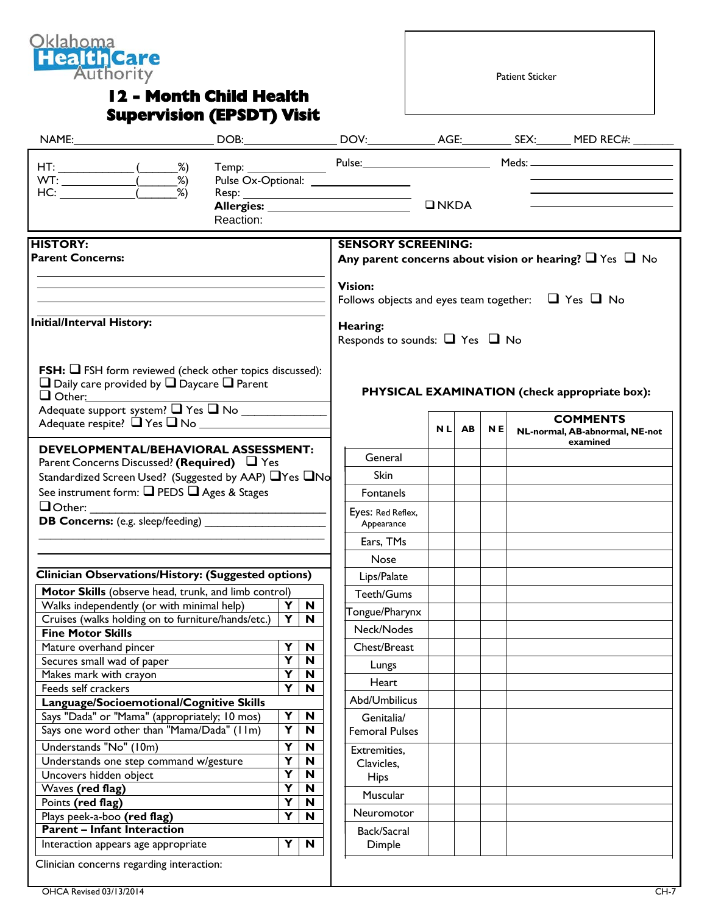

## **12 - Month Child Health Supervision (EPSDT) Visit**

Patient Sticker

|                                                                                          |           |                                                    |                                 |                                                                          |               |       |           |  | DOB: __________________DOV:______________AGE:_____________SEX:________MED REC#:________ |
|------------------------------------------------------------------------------------------|-----------|----------------------------------------------------|---------------------------------|--------------------------------------------------------------------------|---------------|-------|-----------|--|-----------------------------------------------------------------------------------------|
| $HT:$ (2015)                                                                             |           |                                                    |                                 |                                                                          |               |       |           |  | Temp: Pulse: Pulse: Meds: Meds: Meds: News 1997                                         |
| WT: $\frac{20}{\text{HC:}}$ (2%)                                                         |           |                                                    |                                 | Pulse Ox-Optional: _________________                                     |               |       |           |  |                                                                                         |
|                                                                                          |           |                                                    |                                 |                                                                          |               |       |           |  |                                                                                         |
|                                                                                          |           |                                                    |                                 |                                                                          | $\n  INKDA\n$ |       |           |  |                                                                                         |
|                                                                                          | Reaction: |                                                    |                                 |                                                                          |               |       |           |  |                                                                                         |
| <b>HISTORY:</b>                                                                          |           |                                                    |                                 | <b>SENSORY SCREENING:</b>                                                |               |       |           |  |                                                                                         |
| <b>Parent Concerns:</b>                                                                  |           |                                                    |                                 |                                                                          |               |       |           |  | Any parent concerns about vision or hearing? $\Box$ Yes $\Box$ No                       |
|                                                                                          |           |                                                    |                                 | <b>Vision:</b>                                                           |               |       |           |  |                                                                                         |
|                                                                                          |           |                                                    |                                 | Follows objects and eyes team together: $\Box$ Yes $\Box$ No<br>Hearing: |               |       |           |  |                                                                                         |
| <b>Initial/Interval History:</b>                                                         |           |                                                    |                                 |                                                                          |               |       |           |  |                                                                                         |
|                                                                                          |           |                                                    |                                 | Responds to sounds: $\Box$ Yes $\Box$ No                                 |               |       |           |  |                                                                                         |
| <b>FSH:</b> $\Box$ FSH form reviewed (check other topics discussed):                     |           |                                                    |                                 |                                                                          |               |       |           |  |                                                                                         |
| $\Box$ Daily care provided by $\Box$ Daycare $\Box$ Parent                               |           |                                                    |                                 |                                                                          |               |       |           |  |                                                                                         |
| $\Box$ Other:                                                                            |           |                                                    |                                 |                                                                          |               |       |           |  | PHYSICAL EXAMINATION (check appropriate box):                                           |
| Adequate support system? Thes T No                                                       |           |                                                    |                                 |                                                                          |               |       |           |  | <b>COMMENTS</b>                                                                         |
|                                                                                          |           |                                                    |                                 |                                                                          |               | NL AB | <b>NE</b> |  | NL-normal, AB-abnormal, NE-not<br>examined                                              |
| DEVELOPMENTAL/BEHAVIORAL ASSESSMENT:<br>Parent Concerns Discussed? (Required) $\Box$ Yes |           |                                                    |                                 | General                                                                  |               |       |           |  |                                                                                         |
| Standardized Screen Used? (Suggested by AAP) TYes TNo                                    |           |                                                    | Skin                            |                                                                          |               |       |           |  |                                                                                         |
| See instrument form: □ PEDS □ Ages & Stages<br>$\Box$ Other:                             |           |                                                    |                                 | Fontanels                                                                |               |       |           |  |                                                                                         |
|                                                                                          |           |                                                    |                                 |                                                                          |               |       |           |  |                                                                                         |
| <b>DB Concerns:</b> (e.g. sleep/feeding)                                                 |           |                                                    | Eyes: Red Reflex,<br>Appearance |                                                                          |               |       |           |  |                                                                                         |
|                                                                                          |           |                                                    |                                 | Ears, TMs                                                                |               |       |           |  |                                                                                         |
|                                                                                          |           |                                                    |                                 | <b>Nose</b>                                                              |               |       |           |  |                                                                                         |
| Clinician Observations/History: (Suggested options)                                      |           |                                                    |                                 | Lips/Palate                                                              |               |       |           |  |                                                                                         |
| Motor Skills (observe head, trunk, and limb control)                                     |           |                                                    |                                 | Teeth/Gums                                                               |               |       |           |  |                                                                                         |
| Walks independently (or with minimal help)                                               |           | Y                                                  | $\mathbf N$                     | Tongue/Pharynx                                                           |               |       |           |  |                                                                                         |
| Cruises (walks holding on to furniture/hands/etc.)                                       |           | Y                                                  | N                               |                                                                          |               |       |           |  |                                                                                         |
| Fine Motor Skills                                                                        |           |                                                    |                                 | Neck/Nodes                                                               |               |       |           |  |                                                                                         |
| Mature overhand pincer                                                                   |           | Y                                                  | $\mathbf N$                     | Chest/Breast                                                             |               |       |           |  |                                                                                         |
| Secures small wad of paper                                                               |           | Y                                                  | N                               | Lungs                                                                    |               |       |           |  |                                                                                         |
| Makes mark with crayon<br>Feeds self crackers                                            |           | $\overline{\mathbf{Y}}$<br>$\overline{\mathbf{Y}}$ | N                               | Heart                                                                    |               |       |           |  |                                                                                         |
| Language/Socioemotional/Cognitive Skills                                                 |           |                                                    | N                               | Abd/Umbilicus                                                            |               |       |           |  |                                                                                         |
| Says "Dada" or "Mama" (appropriately; 10 mos)                                            |           | Y                                                  | $\mathbf N$                     |                                                                          |               |       |           |  |                                                                                         |
| Says one word other than "Mama/Dada" (IIm)                                               |           | $\overline{\mathbf{Y}}$                            | N                               | Genitalia/<br><b>Femoral Pulses</b>                                      |               |       |           |  |                                                                                         |
| Understands "No" (10m)                                                                   |           | Y                                                  |                                 |                                                                          |               |       |           |  |                                                                                         |
|                                                                                          |           | $\overline{\mathbf{Y}}$                            | $\mathbf N$<br>$\mathbf N$      | Extremities,                                                             |               |       |           |  |                                                                                         |
| Understands one step command w/gesture<br>Uncovers hidden object                         |           | $\overline{\mathsf{Y}}$                            | N                               | Clavicles,                                                               |               |       |           |  |                                                                                         |
| Waves (red flag)                                                                         |           | $\overline{\mathbf{Y}}$                            | N                               | <b>Hips</b>                                                              |               |       |           |  |                                                                                         |
| Points (red flag)                                                                        |           | $\overline{\mathbf{Y}}$                            | N                               | Muscular                                                                 |               |       |           |  |                                                                                         |
| Plays peek-a-boo (red flag)                                                              |           | Ÿ                                                  | N                               | Neuromotor                                                               |               |       |           |  |                                                                                         |
| <b>Parent - Infant Interaction</b>                                                       |           |                                                    |                                 | Back/Sacral                                                              |               |       |           |  |                                                                                         |
| Interaction appears age appropriate                                                      |           | Y                                                  | N                               | Dimple                                                                   |               |       |           |  |                                                                                         |
| Clinician concerns regarding interaction:                                                |           |                                                    |                                 |                                                                          |               |       |           |  |                                                                                         |